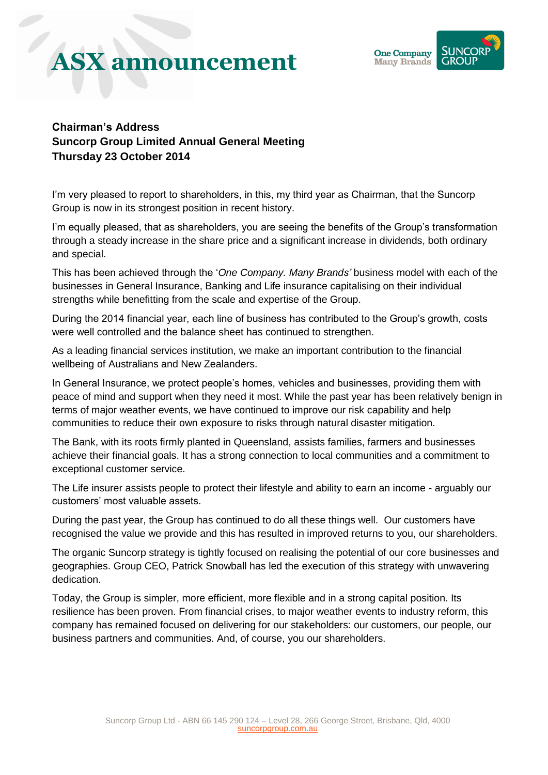## **ASX announcement**



## **Chairman's Address Suncorp Group Limited Annual General Meeting Thursday 23 October 2014**

I'm very pleased to report to shareholders, in this, my third year as Chairman, that the Suncorp Group is now in its strongest position in recent history.

I'm equally pleased, that as shareholders, you are seeing the benefits of the Group's transformation through a steady increase in the share price and a significant increase in dividends, both ordinary and special.

This has been achieved through the '*One Company. Many Brands'* business model with each of the businesses in General Insurance, Banking and Life insurance capitalising on their individual strengths while benefitting from the scale and expertise of the Group.

During the 2014 financial year, each line of business has contributed to the Group's growth, costs were well controlled and the balance sheet has continued to strengthen.

As a leading financial services institution, we make an important contribution to the financial wellbeing of Australians and New Zealanders.

In General Insurance, we protect people's homes, vehicles and businesses, providing them with peace of mind and support when they need it most. While the past year has been relatively benign in terms of major weather events, we have continued to improve our risk capability and help communities to reduce their own exposure to risks through natural disaster mitigation.

The Bank, with its roots firmly planted in Queensland, assists families, farmers and businesses achieve their financial goals. It has a strong connection to local communities and a commitment to exceptional customer service.

The Life insurer assists people to protect their lifestyle and ability to earn an income - arguably our customers' most valuable assets.

During the past year, the Group has continued to do all these things well. Our customers have recognised the value we provide and this has resulted in improved returns to you, our shareholders.

The organic Suncorp strategy is tightly focused on realising the potential of our core businesses and geographies. Group CEO, Patrick Snowball has led the execution of this strategy with unwavering dedication.

Today, the Group is simpler, more efficient, more flexible and in a strong capital position. Its resilience has been proven. From financial crises, to major weather events to industry reform, this company has remained focused on delivering for our stakeholders: our customers, our people, our business partners and communities. And, of course, you our shareholders.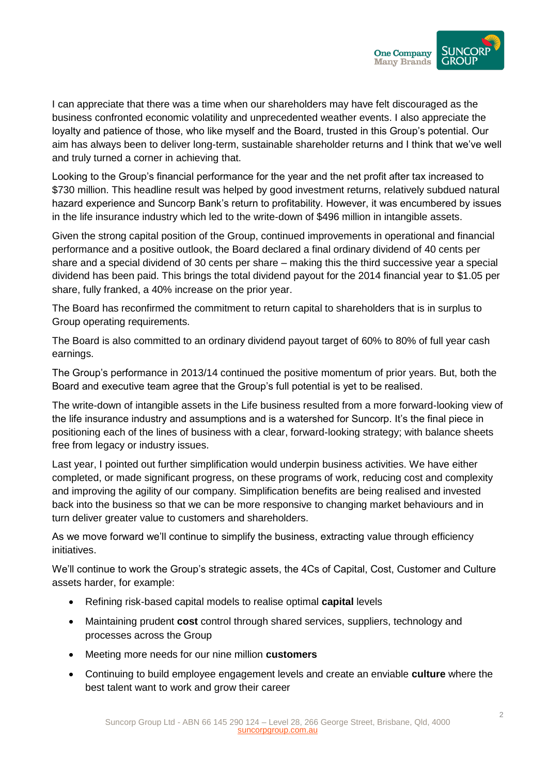

I can appreciate that there was a time when our shareholders may have felt discouraged as the business confronted economic volatility and unprecedented weather events. I also appreciate the loyalty and patience of those, who like myself and the Board, trusted in this Group's potential. Our aim has always been to deliver long-term, sustainable shareholder returns and I think that we've well and truly turned a corner in achieving that.

Looking to the Group's financial performance for the year and the net profit after tax increased to \$730 million. This headline result was helped by good investment returns, relatively subdued natural hazard experience and Suncorp Bank's return to profitability. However, it was encumbered by issues in the life insurance industry which led to the write-down of \$496 million in intangible assets.

Given the strong capital position of the Group, continued improvements in operational and financial performance and a positive outlook, the Board declared a final ordinary dividend of 40 cents per share and a special dividend of 30 cents per share – making this the third successive year a special dividend has been paid. This brings the total dividend payout for the 2014 financial year to \$1.05 per share, fully franked, a 40% increase on the prior year.

The Board has reconfirmed the commitment to return capital to shareholders that is in surplus to Group operating requirements.

The Board is also committed to an ordinary dividend payout target of 60% to 80% of full year cash earnings.

The Group's performance in 2013/14 continued the positive momentum of prior years. But, both the Board and executive team agree that the Group's full potential is yet to be realised.

The write-down of intangible assets in the Life business resulted from a more forward-looking view of the life insurance industry and assumptions and is a watershed for Suncorp. It's the final piece in positioning each of the lines of business with a clear, forward-looking strategy; with balance sheets free from legacy or industry issues.

Last year, I pointed out further simplification would underpin business activities. We have either completed, or made significant progress, on these programs of work, reducing cost and complexity and improving the agility of our company. Simplification benefits are being realised and invested back into the business so that we can be more responsive to changing market behaviours and in turn deliver greater value to customers and shareholders.

As we move forward we'll continue to simplify the business, extracting value through efficiency initiatives.

We'll continue to work the Group's strategic assets, the 4Cs of Capital, Cost, Customer and Culture assets harder, for example:

- Refining risk-based capital models to realise optimal **capital** levels
- Maintaining prudent **cost** control through shared services, suppliers, technology and processes across the Group
- Meeting more needs for our nine million **customers**
- Continuing to build employee engagement levels and create an enviable **culture** where the best talent want to work and grow their career